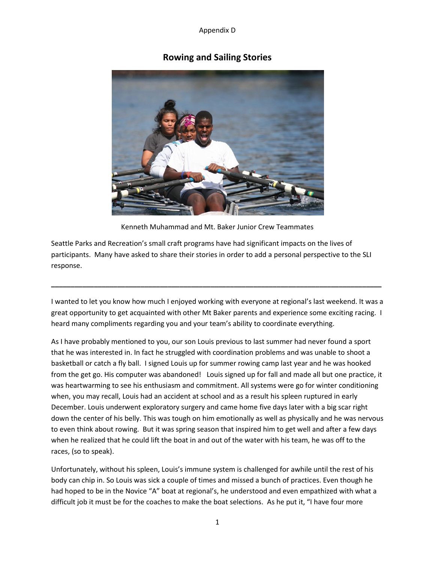# **Rowing and Sailing Stories**



Kenneth Muhammad and Mt. Baker Junior Crew Teammates

Seattle Parks and Recreation's small craft programs have had significant impacts on the lives of participants. Many have asked to share their stories in order to add a personal perspective to the SLI response.

I wanted to let you know how much I enjoyed working with everyone at regional's last weekend. It was a great opportunity to get acquainted with other Mt Baker parents and experience some exciting racing. I heard many compliments regarding you and your team's ability to coordinate everything.

**\_\_\_\_\_\_\_\_\_\_\_\_\_\_\_\_\_\_\_\_\_\_\_\_\_\_\_\_\_\_\_\_\_\_\_\_\_\_\_\_\_\_\_\_\_\_\_\_\_\_\_\_\_\_\_\_\_\_\_\_\_\_\_\_\_\_\_\_\_\_\_\_\_\_\_\_\_\_\_\_\_\_\_\_\_**

As I have probably mentioned to you, our son Louis previous to last summer had never found a sport that he was interested in. In fact he struggled with coordination problems and was unable to shoot a basketball or catch a fly ball. I signed Louis up for summer rowing camp last year and he was hooked from the get go. His computer was abandoned! Louis signed up for fall and made all but one practice, it was heartwarming to see his enthusiasm and commitment. All systems were go for winter conditioning when, you may recall, Louis had an accident at school and as a result his spleen ruptured in early December. Louis underwent exploratory surgery and came home five days later with a big scar right down the center of his belly. This was tough on him emotionally as well as physically and he was nervous to even think about rowing. But it was spring season that inspired him to get well and after a few days when he realized that he could lift the boat in and out of the water with his team, he was off to the races, (so to speak).

Unfortunately, without his spleen, Louis's immune system is challenged for awhile until the rest of his body can chip in. So Louis was sick a couple of times and missed a bunch of practices. Even though he had hoped to be in the Novice "A" boat at regional's, he understood and even empathized with what a difficult job it must be for the coaches to make the boat selections. As he put it, "I have four more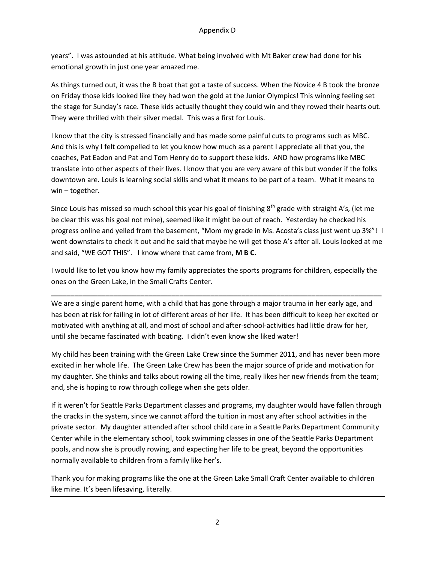years". I was astounded at his attitude. What being involved with Mt Baker crew had done for his emotional growth in just one year amazed me.

As things turned out, it was the B boat that got a taste of success. When the Novice 4 B took the bronze on Friday those kids looked like they had won the gold at the Junior Olympics! This winning feeling set the stage for Sunday's race. These kids actually thought they could win and they rowed their hearts out. They were thrilled with their silver medal. This was a first for Louis.

I know that the city is stressed financially and has made some painful cuts to programs such as MBC. And this is why I felt compelled to let you know how much as a parent I appreciate all that you, the coaches, Pat Eadon and Pat and Tom Henry do to support these kids. AND how programs like MBC translate into other aspects of their lives. I know that you are very aware of this but wonder if the folks downtown are. Louis is learning social skills and what it means to be part of a team. What it means to win – together.

Since Louis has missed so much school this year his goal of finishing  $8<sup>th</sup>$  grade with straight A's, (let me be clear this was his goal not mine), seemed like it might be out of reach. Yesterday he checked his progress online and yelled from the basement, "Mom my grade in Ms. Acosta's class just went up 3%"! I went downstairs to check it out and he said that maybe he will get those A's after all. Louis looked at me and said, "WE GOT THIS". I know where that came from, **M B C.**

I would like to let you know how my family appreciates the sports programs for children, especially the ones on the Green Lake, in the Small Crafts Center.

**\_\_\_\_\_\_\_\_\_\_\_\_\_\_\_\_\_\_\_\_\_\_\_\_\_\_\_\_\_\_\_\_\_\_\_\_\_\_\_\_\_\_\_\_\_\_\_\_\_\_\_\_\_\_\_\_\_\_\_\_\_\_\_\_\_\_\_\_\_\_\_\_\_\_\_\_\_\_\_\_\_\_\_\_\_**

We are a single parent home, with a child that has gone through a major trauma in her early age, and has been at risk for failing in lot of different areas of her life. It has been difficult to keep her excited or motivated with anything at all, and most of school and after-school-activities had little draw for her, until she became fascinated with boating. I didn't even know she liked water!

My child has been training with the Green Lake Crew since the Summer 2011, and has never been more excited in her whole life. The Green Lake Crew has been the major source of pride and motivation for my daughter. She thinks and talks about rowing all the time, really likes her new friends from the team; and, she is hoping to row through college when she gets older.

If it weren't for Seattle Parks Department classes and programs, my daughter would have fallen through the cracks in the system, since we cannot afford the tuition in most any after school activities in the private sector. My daughter attended after school child care in a Seattle Parks Department Community Center while in the elementary school, took swimming classes in one of the Seattle Parks Department pools, and now she is proudly rowing, and expecting her life to be great, beyond the opportunities normally available to children from a family like her's.

Thank you for making programs like the one at the Green Lake Small Craft Center available to children like mine. It's been lifesaving, literally.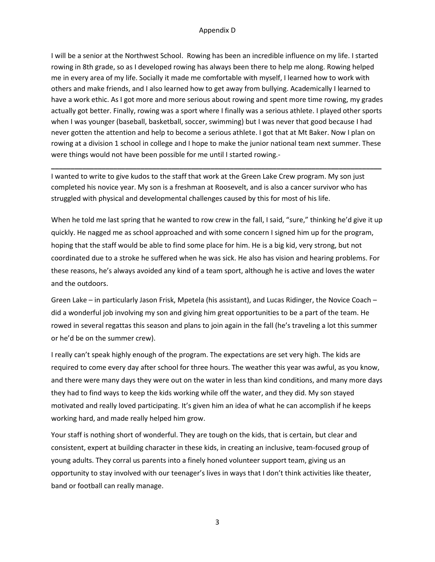I will be a senior at the Northwest School. Rowing has been an incredible influence on my life. I started rowing in 8th grade, so as I developed rowing has always been there to help me along. Rowing helped me in every area of my life. Socially it made me comfortable with myself, I learned how to work with others and make friends, and I also learned how to get away from bullying. Academically I learned to have a work ethic. As I got more and more serious about rowing and spent more time rowing, my grades actually got better. Finally, rowing was a sport where I finally was a serious athlete. I played other sports when I was younger (baseball, basketball, soccer, swimming) but I was never that good because I had never gotten the attention and help to become a serious athlete. I got that at Mt Baker. Now I plan on rowing at a division 1 school in college and I hope to make the junior national team next summer. These were things would not have been possible for me until I started rowing.-

I wanted to write to give kudos to the staff that work at the Green Lake Crew program. My son just completed his novice year. My son is a freshman at Roosevelt, and is also a cancer survivor who has struggled with physical and developmental challenges caused by this for most of his life.

**\_\_\_\_\_\_\_\_\_\_\_\_\_\_\_\_\_\_\_\_\_\_\_\_\_\_\_\_\_\_\_\_\_\_\_\_\_\_\_\_\_\_\_\_\_\_\_\_\_\_\_\_\_\_\_\_\_\_\_\_\_\_\_\_\_\_\_\_\_\_\_\_\_\_\_\_\_\_\_\_\_\_\_\_\_**

When he told me last spring that he wanted to row crew in the fall, I said, "sure," thinking he'd give it up quickly. He nagged me as school approached and with some concern I signed him up for the program, hoping that the staff would be able to find some place for him. He is a big kid, very strong, but not coordinated due to a stroke he suffered when he was sick. He also has vision and hearing problems. For these reasons, he's always avoided any kind of a team sport, although he is active and loves the water and the outdoors.

Green Lake – in particularly Jason Frisk, Mpetela (his assistant), and Lucas Ridinger, the Novice Coach – did a wonderful job involving my son and giving him great opportunities to be a part of the team. He rowed in several regattas this season and plans to join again in the fall (he's traveling a lot this summer or he'd be on the summer crew).

I really can't speak highly enough of the program. The expectations are set very high. The kids are required to come every day after school for three hours. The weather this year was awful, as you know, and there were many days they were out on the water in less than kind conditions, and many more days they had to find ways to keep the kids working while off the water, and they did. My son stayed motivated and really loved participating. It's given him an idea of what he can accomplish if he keeps working hard, and made really helped him grow.

Your staff is nothing short of wonderful. They are tough on the kids, that is certain, but clear and consistent, expert at building character in these kids, in creating an inclusive, team-focused group of young adults. They corral us parents into a finely honed volunteer support team, giving us an opportunity to stay involved with our teenager's lives in ways that I don't think activities like theater, band or football can really manage.

3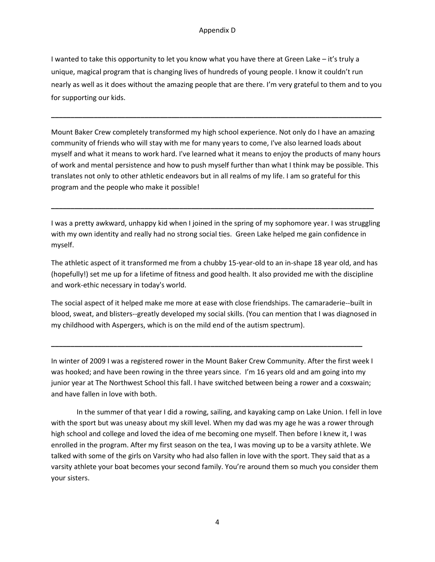I wanted to take this opportunity to let you know what you have there at Green Lake – it's truly a unique, magical program that is changing lives of hundreds of young people. I know it couldn't run nearly as well as it does without the amazing people that are there. I'm very grateful to them and to you for supporting our kids.

**\_\_\_\_\_\_\_\_\_\_\_\_\_\_\_\_\_\_\_\_\_\_\_\_\_\_\_\_\_\_\_\_\_\_\_\_\_\_\_\_\_\_\_\_\_\_\_\_\_\_\_\_\_\_\_\_\_\_\_\_\_\_\_\_\_\_\_\_\_\_\_\_\_\_\_\_\_\_\_\_\_\_\_\_\_**

Mount Baker Crew completely transformed my high school experience. Not only do I have an amazing community of friends who will stay with me for many years to come, I've also learned loads about myself and what it means to work hard. I've learned what it means to enjoy the products of many hours of work and mental persistence and how to push myself further than what I think may be possible. This translates not only to other athletic endeavors but in all realms of my life. I am so grateful for this program and the people who make it possible!

I was a pretty awkward, unhappy kid when I joined in the spring of my sophomore year. I was struggling with my own identity and really had no strong social ties. Green Lake helped me gain confidence in myself.

**\_\_\_\_\_\_\_\_\_\_\_\_\_\_\_\_\_\_\_\_\_\_\_\_\_\_\_\_\_\_\_\_\_\_\_\_\_\_\_\_\_\_\_\_\_\_\_\_\_\_\_\_\_\_\_\_\_\_\_\_\_\_\_\_\_\_\_\_\_\_\_\_\_\_\_\_\_\_\_\_\_\_\_**

The athletic aspect of it transformed me from a chubby 15-year-old to an in-shape 18 year old, and has (hopefully!) set me up for a lifetime of fitness and good health. It also provided me with the discipline and work-ethic necessary in today's world.

The social aspect of it helped make me more at ease with close friendships. The camaraderie--built in blood, sweat, and blisters--greatly developed my social skills. (You can mention that I was diagnosed in my childhood with Aspergers, which is on the mild end of the autism spectrum).

In winter of 2009 I was a registered rower in the Mount Baker Crew Community. After the first week I was hooked; and have been rowing in the three years since. I'm 16 years old and am going into my junior year at The Northwest School this fall. I have switched between being a rower and a coxswain; and have fallen in love with both.

**\_\_\_\_\_\_\_\_\_\_\_\_\_\_\_\_\_\_\_\_\_\_\_\_\_\_\_\_\_\_\_\_\_\_\_\_\_\_\_\_\_\_\_\_\_\_\_\_\_\_\_\_\_\_\_\_\_\_\_\_\_\_\_\_\_\_\_\_\_\_\_\_\_\_\_\_\_\_\_\_**

In the summer of that year I did a rowing, sailing, and kayaking camp on Lake Union. I fell in love with the sport but was uneasy about my skill level. When my dad was my age he was a rower through high school and college and loved the idea of me becoming one myself. Then before I knew it, I was enrolled in the program. After my first season on the tea, I was moving up to be a varsity athlete. We talked with some of the girls on Varsity who had also fallen in love with the sport. They said that as a varsity athlete your boat becomes your second family. You're around them so much you consider them your sisters.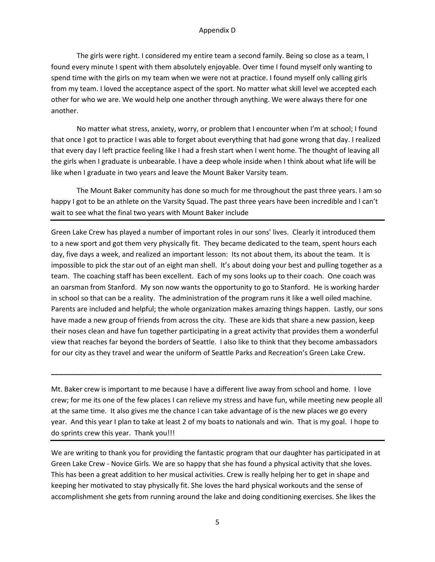The girls were right. I considered my entire team a second family. Being so close as a team, I found every minute I spent with them absolutely enjoyable. Over time I found myself only wanting to spend time with the girls on my team when we were not at practice. I found myself only calling girls from my team. I loved the acceptance aspect of the sport. No matter what skill level we accepted each other for who we are. We would help one another through anything. We were always there for one another.

No matter what stress, anxiety, worry, or problem that I encounter when I'm at school; I found that once I got to practice I was able to forget about everything that had gone wrong that day. I realized that every day I left practice feeling like I had a fresh start when I went home. The thought of leaving all the girls when I graduate is unbearable. I have a deep whole inside when I think about what life will be like when I graduate in two years and leave the Mount Baker Varsity team.

The Mount Baker community has done so much for me throughout the past three years. I am so happy I got to be an athlete on the Varsity Squad. The past three years have been incredible and I can't wait to see what the final two years with Mount Baker include

Green Lake Crew has played a number of important roles in our sons' lives. Clearly it introduced them to a new sport and got them very physically fit. They became dedicated to the team, spent hours each day, five days a week, and realized an important lesson: Its not about them, its about the team. It is impossible to pick the star out of an eight man shell. It's about doing your best and pulling together as a team. The coaching staff has been excellent. Each of my sons looks up to their coach. One coach was an oarsman from Stanford. My son now wants the opportunity to go to Stanford. He is working harder in school so that can be a reality. The administration of the program runs it like a well oiled machine. Parents are included and helpful; the whole organization makes amazing things happen. Lastly, our sons have made a new group of friends from across the city. These are kids that share a new passion, keep their noses clean and have fun together participating in a great activity that provides them a wonderful view that reaches far beyond the borders of Seattle. I also like to think that they become ambassadors for our city as they travel and wear the uniform of Seattle Parks and Recreation's Green Lake Crew.

Mt. Baker crew is important to me because I have a different live away from school and home. I love crew; for me its one of the few places I can relieve my stress and have fun, while meeting new people all at the same time. It also gives me the chance I can take advantage of is the new places we go every year. And this year I plan to take at least 2 of my boats to nationals and win. That is my goal. I hope to do sprints crew this year. Thank you!!!

**\_\_\_\_\_\_\_\_\_\_\_\_\_\_\_\_\_\_\_\_\_\_\_\_\_\_\_\_\_\_\_\_\_\_\_\_\_\_\_\_\_\_\_\_\_\_\_\_\_\_\_\_\_\_\_\_\_\_\_\_\_\_\_\_\_\_\_\_\_\_\_\_\_\_\_\_\_\_\_\_\_\_\_\_\_**

We are writing to thank you for providing the fantastic program that our daughter has participated in at Green Lake Crew - Novice Girls. We are so happy that she has found a physical activity that she loves. This has been a great addition to her musical activities. Crew is really helping her to get in shape and keeping her motivated to stay physically fit. She loves the hard physical workouts and the sense of accomplishment she gets from running around the lake and doing conditioning exercises. She likes the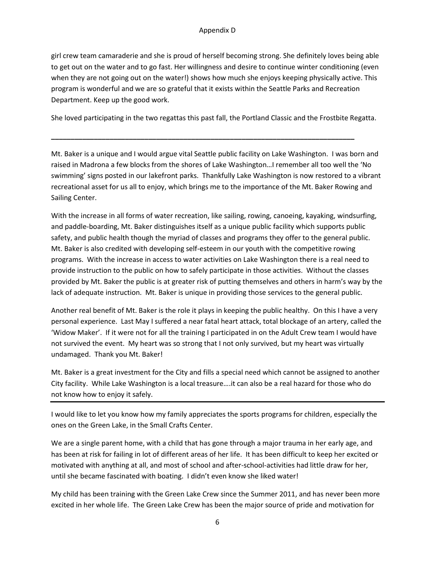girl crew team camaraderie and she is proud of herself becoming strong. She definitely loves being able to get out on the water and to go fast. Her willingness and desire to continue winter conditioning (even when they are not going out on the water!) shows how much she enjoys keeping physically active. This program is wonderful and we are so grateful that it exists within the Seattle Parks and Recreation Department. Keep up the good work.

She loved participating in the two regattas this past fall, the Portland Classic and the Frostbite Regatta.

**\_\_\_\_\_\_\_\_\_\_\_\_\_\_\_\_\_\_\_\_\_\_\_\_\_\_\_\_\_\_\_\_\_\_\_\_\_\_\_\_\_\_\_\_\_\_\_\_\_\_\_\_\_\_\_\_\_\_\_\_\_\_\_\_\_\_\_\_\_\_\_\_\_\_\_\_\_\_**

Mt. Baker is a unique and I would argue vital Seattle public facility on Lake Washington. I was born and raised in Madrona a few blocks from the shores of Lake Washington…I remember all too well the 'No swimming' signs posted in our lakefront parks. Thankfully Lake Washington is now restored to a vibrant recreational asset for us all to enjoy, which brings me to the importance of the Mt. Baker Rowing and Sailing Center.

With the increase in all forms of water recreation, like sailing, rowing, canoeing, kayaking, windsurfing, and paddle-boarding, Mt. Baker distinguishes itself as a unique public facility which supports public safety, and public health though the myriad of classes and programs they offer to the general public. Mt. Baker is also credited with developing self-esteem in our youth with the competitive rowing programs. With the increase in access to water activities on Lake Washington there is a real need to provide instruction to the public on how to safely participate in those activities. Without the classes provided by Mt. Baker the public is at greater risk of putting themselves and others in harm's way by the lack of adequate instruction. Mt. Baker is unique in providing those services to the general public.

Another real benefit of Mt. Baker is the role it plays in keeping the public healthy. On this I have a very personal experience. Last May I suffered a near fatal heart attack, total blockage of an artery, called the 'Widow Maker'. If it were not for all the training I participated in on the Adult Crew team I would have not survived the event. My heart was so strong that I not only survived, but my heart was virtually undamaged. Thank you Mt. Baker!

Mt. Baker is a great investment for the City and fills a special need which cannot be assigned to another City facility. While Lake Washington is a local treasure….it can also be a real hazard for those who do not know how to enjoy it safely.

I would like to let you know how my family appreciates the sports programs for children, especially the ones on the Green Lake, in the Small Crafts Center.

We are a single parent home, with a child that has gone through a major trauma in her early age, and has been at risk for failing in lot of different areas of her life. It has been difficult to keep her excited or motivated with anything at all, and most of school and after-school-activities had little draw for her, until she became fascinated with boating. I didn't even know she liked water!

My child has been training with the Green Lake Crew since the Summer 2011, and has never been more excited in her whole life. The Green Lake Crew has been the major source of pride and motivation for